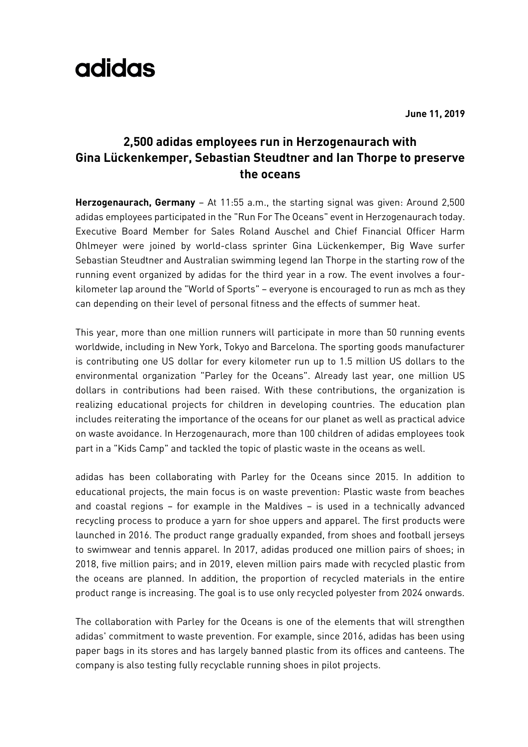## adidas

**June 11, 2019**

## **2,500 adidas employees run in Herzogenaurach with Gina Lückenkemper, Sebastian Steudtner and Ian Thorpe to preserve the oceans**

**Herzogenaurach, Germany** – At 11:55 a.m., the starting signal was given: Around 2,500 adidas employees participated in the "Run For The Oceans" event in Herzogenaurach today. Executive Board Member for Sales Roland Auschel and Chief Financial Officer Harm Ohlmeyer were joined by world-class sprinter Gina Lückenkemper, Big Wave surfer Sebastian Steudtner and Australian swimming legend Ian Thorpe in the starting row of the running event organized by adidas for the third year in a row. The event involves a fourkilometer lap around the "World of Sports" – everyone is encouraged to run as mch as they can depending on their level of personal fitness and the effects of summer heat.

This year, more than one million runners will participate in more than 50 running events worldwide, including in New York, Tokyo and Barcelona. The sporting goods manufacturer is contributing one US dollar for every kilometer run up to 1.5 million US dollars to the environmental organization "Parley for the Oceans". Already last year, one million US dollars in contributions had been raised. With these contributions, the organization is realizing educational projects for children in developing countries. The education plan includes reiterating the importance of the oceans for our planet as well as practical advice on waste avoidance. In Herzogenaurach, more than 100 children of adidas employees took part in a "Kids Camp" and tackled the topic of plastic waste in the oceans as well.

adidas has been collaborating with Parley for the Oceans since 2015. In addition to educational projects, the main focus is on waste prevention: Plastic waste from beaches and coastal regions – for example in the Maldives – is used in a technically advanced recycling process to produce a yarn for shoe uppers and apparel. The first products were launched in 2016. The product range gradually expanded, from shoes and football jerseys to swimwear and tennis apparel. In 2017, adidas produced one million pairs of shoes; in 2018, five million pairs; and in 2019, eleven million pairs made with recycled plastic from the oceans are planned. In addition, the proportion of recycled materials in the entire product range is increasing. The goal is to use only recycled polyester from 2024 onwards.

The collaboration with Parley for the Oceans is one of the elements that will strengthen adidas' commitment to waste prevention. For example, since 2016, adidas has been using paper bags in its stores and has largely banned plastic from its offices and canteens. The company is also testing fully recyclable running shoes in pilot projects.